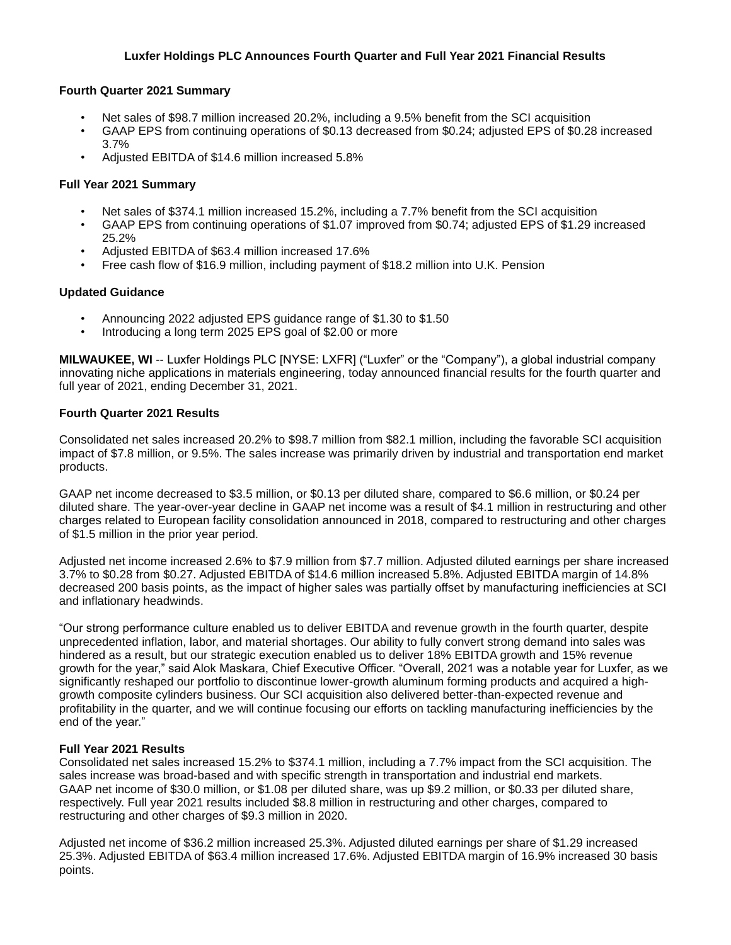#### **Fourth Quarter 2021 Summary**

- Net sales of \$98.7 million increased 20.2%, including a 9.5% benefit from the SCI acquisition
- GAAP EPS from continuing operations of \$0.13 decreased from \$0.24; adjusted EPS of \$0.28 increased 3.7%
- Adjusted EBITDA of \$14.6 million increased 5.8%

#### **Full Year 2021 Summary**

- Net sales of \$374.1 million increased 15.2%, including a 7.7% benefit from the SCI acquisition
- GAAP EPS from continuing operations of \$1.07 improved from \$0.74; adjusted EPS of \$1.29 increased 25.2%
- Adjusted EBITDA of \$63.4 million increased 17.6%
- Free cash flow of \$16.9 million, including payment of \$18.2 million into U.K. Pension

#### **Updated Guidance**

- Announcing 2022 adjusted EPS guidance range of \$1.30 to \$1.50
- Introducing a long term 2025 EPS goal of \$2.00 or more

**MILWAUKEE, WI** -- Luxfer Holdings PLC [NYSE: LXFR] ("Luxfer" or the "Company"), a global industrial company innovating niche applications in materials engineering, today announced financial results for the fourth quarter and full year of 2021, ending December 31, 2021.

#### **Fourth Quarter 2021 Results**

Consolidated net sales increased 20.2% to \$98.7 million from \$82.1 million, including the favorable SCI acquisition impact of \$7.8 million, or 9.5%. The sales increase was primarily driven by industrial and transportation end market products.

GAAP net income decreased to \$3.5 million, or \$0.13 per diluted share, compared to \$6.6 million, or \$0.24 per diluted share. The year-over-year decline in GAAP net income was a result of \$4.1 million in restructuring and other charges related to European facility consolidation announced in 2018, compared to restructuring and other charges of \$1.5 million in the prior year period.

Adjusted net income increased 2.6% to \$7.9 million from \$7.7 million. Adjusted diluted earnings per share increased 3.7% to \$0.28 from \$0.27. Adjusted EBITDA of \$14.6 million increased 5.8%. Adjusted EBITDA margin of 14.8% decreased 200 basis points, as the impact of higher sales was partially offset by manufacturing inefficiencies at SCI and inflationary headwinds.

"Our strong performance culture enabled us to deliver EBITDA and revenue growth in the fourth quarter, despite unprecedented inflation, labor, and material shortages. Our ability to fully convert strong demand into sales was hindered as a result, but our strategic execution enabled us to deliver 18% EBITDA growth and 15% revenue growth for the year," said Alok Maskara, Chief Executive Officer. "Overall, 2021 was a notable year for Luxfer, as we significantly reshaped our portfolio to discontinue lower-growth aluminum forming products and acquired a highgrowth composite cylinders business. Our SCI acquisition also delivered better-than-expected revenue and profitability in the quarter, and we will continue focusing our efforts on tackling manufacturing inefficiencies by the end of the year."

### **Full Year 2021 Results**

Consolidated net sales increased 15.2% to \$374.1 million, including a 7.7% impact from the SCI acquisition. The sales increase was broad-based and with specific strength in transportation and industrial end markets. GAAP net income of \$30.0 million, or \$1.08 per diluted share, was up \$9.2 million, or \$0.33 per diluted share, respectively. Full year 2021 results included \$8.8 million in restructuring and other charges, compared to restructuring and other charges of \$9.3 million in 2020.

Adjusted net income of \$36.2 million increased 25.3%. Adjusted diluted earnings per share of \$1.29 increased 25.3%. Adjusted EBITDA of \$63.4 million increased 17.6%. Adjusted EBITDA margin of 16.9% increased 30 basis points.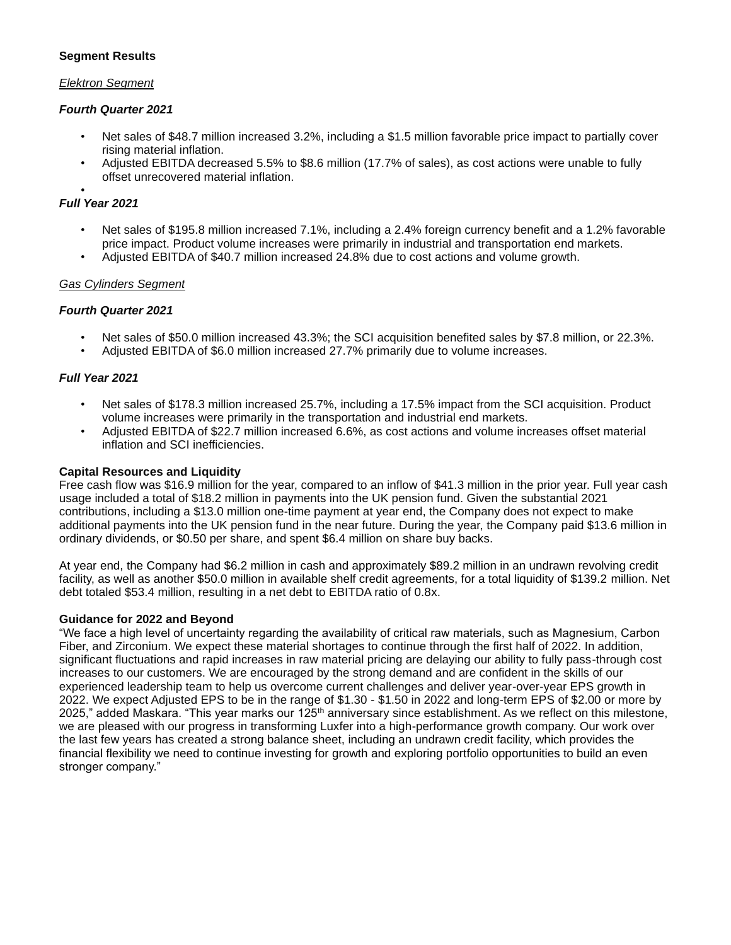### **Segment Results**

#### *Elektron Segment*

#### *Fourth Quarter 2021*

- Net sales of \$48.7 million increased 3.2%, including a \$1.5 million favorable price impact to partially cover rising material inflation.
- Adjusted EBITDA decreased 5.5% to \$8.6 million (17.7% of sales), as cost actions were unable to fully offset unrecovered material inflation.

#### • *Full Year 2021*

- Net sales of \$195.8 million increased 7.1%, including a 2.4% foreign currency benefit and a 1.2% favorable price impact. Product volume increases were primarily in industrial and transportation end markets.
- Adjusted EBITDA of \$40.7 million increased 24.8% due to cost actions and volume growth.

#### *Gas Cylinders Segment*

#### *Fourth Quarter 2021*

- Net sales of \$50.0 million increased 43.3%; the SCI acquisition benefited sales by \$7.8 million, or 22.3%.
- Adjusted EBITDA of \$6.0 million increased 27.7% primarily due to volume increases.

#### *Full Year 2021*

- Net sales of \$178.3 million increased 25.7%, including a 17.5% impact from the SCI acquisition. Product volume increases were primarily in the transportation and industrial end markets.
- Adjusted EBITDA of \$22.7 million increased 6.6%, as cost actions and volume increases offset material inflation and SCI inefficiencies.

#### **Capital Resources and Liquidity**

Free cash flow was \$16.9 million for the year, compared to an inflow of \$41.3 million in the prior year. Full year cash usage included a total of \$18.2 million in payments into the UK pension fund. Given the substantial 2021 contributions, including a \$13.0 million one-time payment at year end, the Company does not expect to make additional payments into the UK pension fund in the near future. During the year, the Company paid \$13.6 million in ordinary dividends, or \$0.50 per share, and spent \$6.4 million on share buy backs.

At year end, the Company had \$6.2 million in cash and approximately \$89.2 million in an undrawn revolving credit facility, as well as another \$50.0 million in available shelf credit agreements, for a total liquidity of \$139.2 million. Net debt totaled \$53.4 million, resulting in a net debt to EBITDA ratio of 0.8x.

#### **Guidance for 2022 and Beyond**

"We face a high level of uncertainty regarding the availability of critical raw materials, such as Magnesium, Carbon Fiber, and Zirconium. We expect these material shortages to continue through the first half of 2022. In addition, significant fluctuations and rapid increases in raw material pricing are delaying our ability to fully pass-through cost increases to our customers. We are encouraged by the strong demand and are confident in the skills of our experienced leadership team to help us overcome current challenges and deliver year-over-year EPS growth in 2022. We expect Adjusted EPS to be in the range of \$1.30 - \$1.50 in 2022 and long-term EPS of \$2.00 or more by 2025," added Maskara. "This year marks our 125<sup>th</sup> anniversary since establishment. As we reflect on this milestone, we are pleased with our progress in transforming Luxfer into a high-performance growth company. Our work over the last few years has created a strong balance sheet, including an undrawn credit facility, which provides the financial flexibility we need to continue investing for growth and exploring portfolio opportunities to build an even stronger company."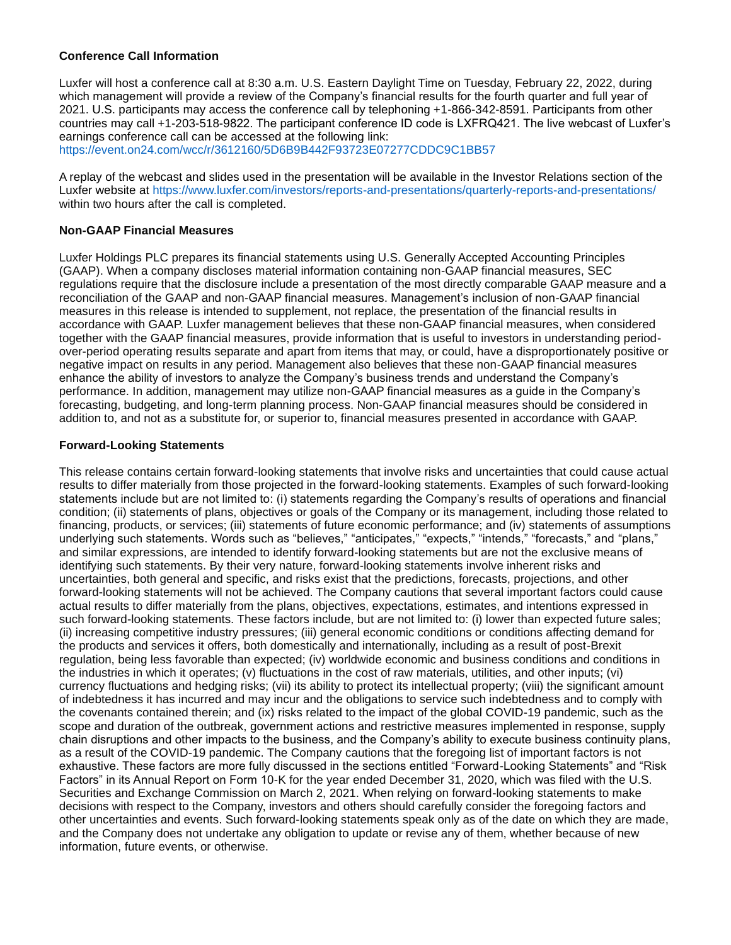### **Conference Call Information**

Luxfer will host a conference call at 8:30 a.m. U.S. Eastern Daylight Time on Tuesday, February 22, 2022, during which management will provide a review of the Company's financial results for the fourth quarter and full year of 2021. U.S. participants may access the conference call by telephoning +1-866-342-8591. Participants from other countries may call +1-203-518-9822. The participant conference ID code is LXFRQ421. The live webcast of Luxfer's earnings conference call can be accessed at the following link:

https://event.on24.com/wcc/r/3612160/5D6B9B442F93723E07277CDDC9C1BB57

A replay of the webcast and slides used in the presentation will be available in the Investor Relations section of the Luxfer website at https://www.luxfer.com/investors/reports-and-presentations/quarterly-reports-and-presentations/ within two hours after the call is completed.

#### **Non-GAAP Financial Measures**

Luxfer Holdings PLC prepares its financial statements using U.S. Generally Accepted Accounting Principles (GAAP). When a company discloses material information containing non-GAAP financial measures, SEC regulations require that the disclosure include a presentation of the most directly comparable GAAP measure and a reconciliation of the GAAP and non-GAAP financial measures. Management's inclusion of non-GAAP financial measures in this release is intended to supplement, not replace, the presentation of the financial results in accordance with GAAP. Luxfer management believes that these non-GAAP financial measures, when considered together with the GAAP financial measures, provide information that is useful to investors in understanding periodover-period operating results separate and apart from items that may, or could, have a disproportionately positive or negative impact on results in any period. Management also believes that these non-GAAP financial measures enhance the ability of investors to analyze the Company's business trends and understand the Company's performance. In addition, management may utilize non-GAAP financial measures as a guide in the Company's forecasting, budgeting, and long-term planning process. Non-GAAP financial measures should be considered in addition to, and not as a substitute for, or superior to, financial measures presented in accordance with GAAP.

#### **Forward-Looking Statements**

This release contains certain forward-looking statements that involve risks and uncertainties that could cause actual results to differ materially from those projected in the forward-looking statements. Examples of such forward-looking statements include but are not limited to: (i) statements regarding the Company's results of operations and financial condition; (ii) statements of plans, objectives or goals of the Company or its management, including those related to financing, products, or services; (iii) statements of future economic performance; and (iv) statements of assumptions underlying such statements. Words such as "believes," "anticipates," "expects," "intends," "forecasts," and "plans," and similar expressions, are intended to identify forward-looking statements but are not the exclusive means of identifying such statements. By their very nature, forward-looking statements involve inherent risks and uncertainties, both general and specific, and risks exist that the predictions, forecasts, projections, and other forward-looking statements will not be achieved. The Company cautions that several important factors could cause actual results to differ materially from the plans, objectives, expectations, estimates, and intentions expressed in such forward-looking statements. These factors include, but are not limited to: (i) lower than expected future sales; (ii) increasing competitive industry pressures; (iii) general economic conditions or conditions affecting demand for the products and services it offers, both domestically and internationally, including as a result of post-Brexit regulation, being less favorable than expected; (iv) worldwide economic and business conditions and conditions in the industries in which it operates; (v) fluctuations in the cost of raw materials, utilities, and other inputs; (vi) currency fluctuations and hedging risks; (vii) its ability to protect its intellectual property; (viii) the significant amount of indebtedness it has incurred and may incur and the obligations to service such indebtedness and to comply with the covenants contained therein; and (ix) risks related to the impact of the global COVID-19 pandemic, such as the scope and duration of the outbreak, government actions and restrictive measures implemented in response, supply chain disruptions and other impacts to the business, and the Company's ability to execute business continuity plans, as a result of the COVID-19 pandemic. The Company cautions that the foregoing list of important factors is not exhaustive. These factors are more fully discussed in the sections entitled "Forward-Looking Statements" and "Risk Factors" in its Annual Report on Form 10-K for the year ended December 31, 2020, which was filed with the U.S. Securities and Exchange Commission on March 2, 2021. When relying on forward-looking statements to make decisions with respect to the Company, investors and others should carefully consider the foregoing factors and other uncertainties and events. Such forward-looking statements speak only as of the date on which they are made, and the Company does not undertake any obligation to update or revise any of them, whether because of new information, future events, or otherwise.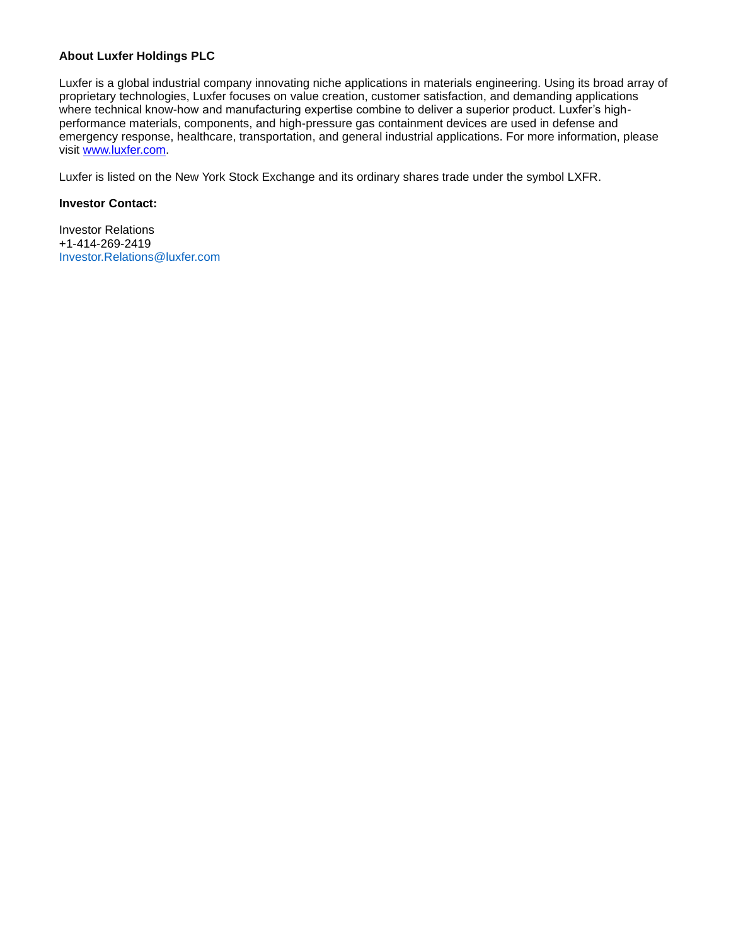### **About Luxfer Holdings PLC**

Luxfer is a global industrial company innovating niche applications in materials engineering. Using its broad array of proprietary technologies, Luxfer focuses on value creation, customer satisfaction, and demanding applications where technical know-how and manufacturing expertise combine to deliver a superior product. Luxfer's highperformance materials, components, and high-pressure gas containment devices are used in defense and emergency response, healthcare, transportation, and general industrial applications. For more information, please visit www.luxfer.com.

Luxfer is listed on the New York Stock Exchange and its ordinary shares trade under the symbol LXFR.

#### **Investor Contact:**

Investor Relations +1-414-269-2419 Investor.Relations@luxfer.com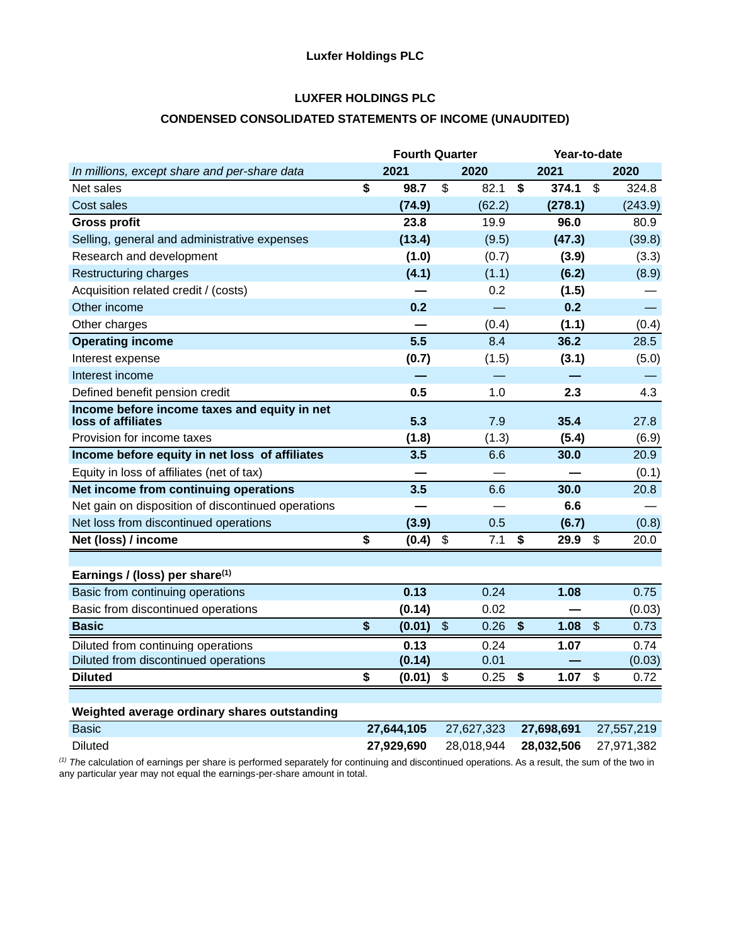# **Luxfer Holdings PLC**

### **LUXFER HOLDINGS PLC**

## **CONDENSED CONSOLIDATED STATEMENTS OF INCOME (UNAUDITED)**

|                                                                    | <b>Fourth Quarter</b> |                           |            | Year-to-date      |            |                           |         |  |  |
|--------------------------------------------------------------------|-----------------------|---------------------------|------------|-------------------|------------|---------------------------|---------|--|--|
| In millions, except share and per-share data                       | 2021                  |                           | 2020       |                   | 2021       |                           | 2020    |  |  |
| Net sales                                                          | \$<br>98.7            | \$                        | 82.1       | $\boldsymbol{\$}$ | 374.1      | $\boldsymbol{\mathsf{s}}$ | 324.8   |  |  |
| Cost sales                                                         | (74.9)                |                           | (62.2)     |                   | (278.1)    |                           | (243.9) |  |  |
| <b>Gross profit</b>                                                | 23.8                  |                           | 19.9       |                   | 96.0       |                           | 80.9    |  |  |
| Selling, general and administrative expenses                       | (13.4)                |                           | (9.5)      |                   | (47.3)     |                           | (39.8)  |  |  |
| Research and development                                           | (1.0)                 |                           | (0.7)      |                   | (3.9)      |                           | (3.3)   |  |  |
| <b>Restructuring charges</b>                                       | (4.1)                 |                           | (1.1)      |                   | (6.2)      |                           | (8.9)   |  |  |
| Acquisition related credit / (costs)                               |                       |                           | 0.2        |                   | (1.5)      |                           |         |  |  |
| Other income                                                       | 0.2                   |                           |            |                   | 0.2        |                           |         |  |  |
| Other charges                                                      |                       |                           | (0.4)      |                   | (1.1)      |                           | (0.4)   |  |  |
| <b>Operating income</b>                                            | 5.5                   |                           | 8.4        |                   | 36.2       |                           | 28.5    |  |  |
| Interest expense                                                   | (0.7)                 |                           | (1.5)      |                   | (3.1)      |                           | (5.0)   |  |  |
| Interest income                                                    |                       |                           |            |                   |            |                           |         |  |  |
| Defined benefit pension credit                                     | 0.5                   |                           | 1.0        |                   | 2.3        |                           | 4.3     |  |  |
| Income before income taxes and equity in net<br>loss of affiliates | 5.3                   |                           | 7.9        |                   | 35.4       |                           | 27.8    |  |  |
| Provision for income taxes                                         | (1.8)                 |                           | (1.3)      |                   | (5.4)      |                           | (6.9)   |  |  |
| Income before equity in net loss of affiliates                     | 3.5                   |                           | 6.6        |                   | 30.0       |                           | 20.9    |  |  |
| Equity in loss of affiliates (net of tax)                          |                       |                           |            |                   |            |                           | (0.1)   |  |  |
| Net income from continuing operations                              | 3.5                   |                           | 6.6        |                   | 30.0       |                           | 20.8    |  |  |
| Net gain on disposition of discontinued operations                 |                       |                           |            |                   | 6.6        |                           |         |  |  |
| Net loss from discontinued operations                              | (3.9)                 |                           | 0.5        |                   | (6.7)      |                           | (0.8)   |  |  |
| Net (loss) / income                                                | \$<br>(0.4)           | \$                        | 7.1        | \$                | 29.9       | \$                        | 20.0    |  |  |
| Earnings / (loss) per share <sup>(1)</sup>                         |                       |                           |            |                   |            |                           |         |  |  |
| Basic from continuing operations                                   | 0.13                  |                           | 0.24       |                   | 1.08       |                           | 0.75    |  |  |
| Basic from discontinued operations                                 | (0.14)                |                           | 0.02       |                   |            |                           | (0.03)  |  |  |
| <b>Basic</b>                                                       | \$<br>(0.01)          | $\boldsymbol{\mathsf{S}}$ | 0.26       | $\mathbf{\$}$     | 1.08       | $\boldsymbol{\mathsf{S}}$ | 0.73    |  |  |
| Diluted from continuing operations                                 | 0.13                  |                           | 0.24       |                   | 1.07       |                           | 0.74    |  |  |
| Diluted from discontinued operations                               | (0.14)                |                           | 0.01       |                   |            |                           | (0.03)  |  |  |
| <b>Diluted</b>                                                     | \$<br>(0.01)          | \$                        | 0.25       | \$                | 1.07       | $\boldsymbol{\mathsf{S}}$ | 0.72    |  |  |
|                                                                    |                       |                           |            |                   |            |                           |         |  |  |
| Weighted average ordinary shares outstanding                       |                       |                           |            |                   |            |                           |         |  |  |
| <b>Basic</b>                                                       | 27,644,105            |                           | 27,627,323 |                   | 27,698,691 | 27,557,219                |         |  |  |
| Diluted                                                            | 27,929,690            |                           | 28,018,944 |                   | 28,032,506 | 27,971,382                |         |  |  |

*(1) Th*e calculation of earnings per share is performed separately for continuing and discontinued operations. As a result, the sum of the two in any particular year may not equal the earnings-per-share amount in total.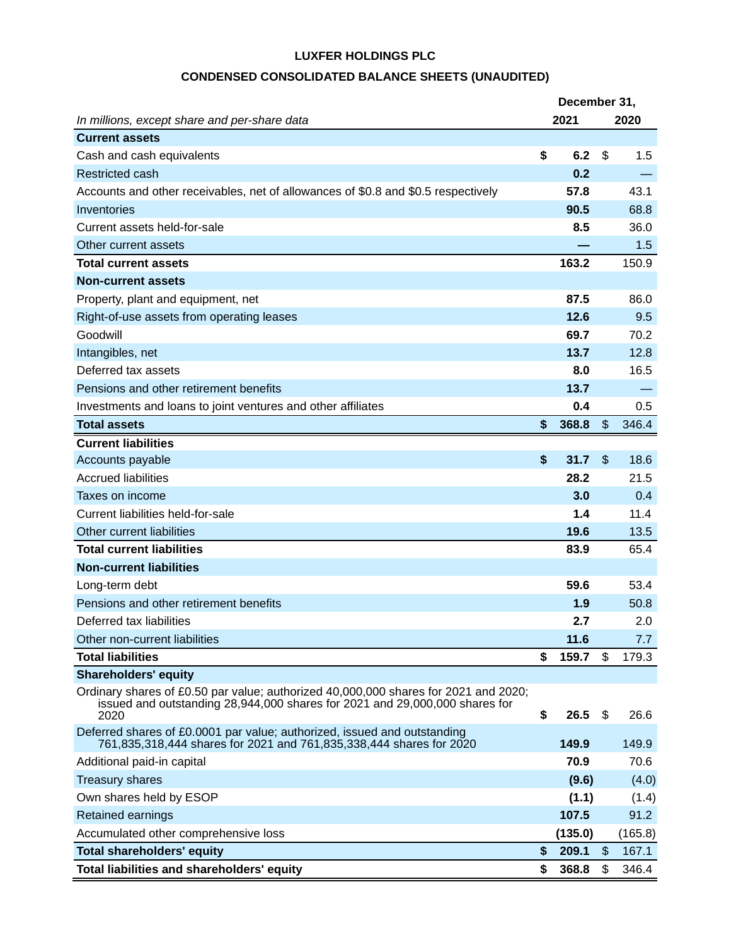# **CONDENSED CONSOLIDATED BALANCE SHEETS (UNAUDITED)**

|                                                                                                                                                 | December 31, |               |         |
|-------------------------------------------------------------------------------------------------------------------------------------------------|--------------|---------------|---------|
| In millions, except share and per-share data                                                                                                    | 2021         |               | 2020    |
| <b>Current assets</b>                                                                                                                           |              |               |         |
| Cash and cash equivalents                                                                                                                       | \$<br>6.2    | \$            | 1.5     |
| <b>Restricted cash</b>                                                                                                                          | 0.2          |               |         |
| Accounts and other receivables, net of allowances of \$0.8 and \$0.5 respectively                                                               | 57.8         |               | 43.1    |
| Inventories                                                                                                                                     | 90.5         |               | 68.8    |
| Current assets held-for-sale                                                                                                                    | 8.5          |               | 36.0    |
| Other current assets                                                                                                                            |              |               | 1.5     |
| <b>Total current assets</b>                                                                                                                     | 163.2        |               | 150.9   |
| <b>Non-current assets</b>                                                                                                                       |              |               |         |
| Property, plant and equipment, net                                                                                                              | 87.5         |               | 86.0    |
| Right-of-use assets from operating leases                                                                                                       | 12.6         |               | 9.5     |
| Goodwill                                                                                                                                        | 69.7         |               | 70.2    |
| Intangibles, net                                                                                                                                | 13.7         |               | 12.8    |
| Deferred tax assets                                                                                                                             | 8.0          |               | 16.5    |
| Pensions and other retirement benefits                                                                                                          | 13.7         |               |         |
| Investments and loans to joint ventures and other affiliates                                                                                    | 0.4          |               | 0.5     |
| <b>Total assets</b>                                                                                                                             | \$<br>368.8  | $\frac{1}{2}$ | 346.4   |
| <b>Current liabilities</b>                                                                                                                      |              |               |         |
| Accounts payable                                                                                                                                | \$<br>31.7   | $\$\$         | 18.6    |
| <b>Accrued liabilities</b>                                                                                                                      | 28.2         |               | 21.5    |
| Taxes on income                                                                                                                                 | 3.0          |               | 0.4     |
| Current liabilities held-for-sale                                                                                                               | 1.4          |               | 11.4    |
| Other current liabilities                                                                                                                       | 19.6         |               | 13.5    |
| <b>Total current liabilities</b>                                                                                                                | 83.9         |               | 65.4    |
| <b>Non-current liabilities</b>                                                                                                                  |              |               |         |
| Long-term debt                                                                                                                                  | 59.6         |               | 53.4    |
| Pensions and other retirement benefits                                                                                                          | 1.9          |               | 50.8    |
| Deferred tax liabilities                                                                                                                        | 2.7          |               | 2.0     |
| Other non-current liabilities                                                                                                                   | 11.6         |               | 7.7     |
| <b>Total liabilities</b>                                                                                                                        | \$<br>159.7  | \$            | 179.3   |
| <b>Shareholders' equity</b>                                                                                                                     |              |               |         |
| Ordinary shares of £0.50 par value; authorized 40,000,000 shares for 2021 and 2020;                                                             |              |               |         |
| issued and outstanding 28,944,000 shares for 2021 and 29,000,000 shares for<br>2020                                                             | \$<br>26.5   | \$            | 26.6    |
| Deferred shares of £0.0001 par value; authorized, issued and outstanding<br>761,835,318,444 shares for 2021 and 761,835,338,444 shares for 2020 | 149.9        |               | 149.9   |
| Additional paid-in capital                                                                                                                      | 70.9         |               | 70.6    |
| <b>Treasury shares</b>                                                                                                                          | (9.6)        |               | (4.0)   |
| Own shares held by ESOP                                                                                                                         | (1.1)        |               | (1.4)   |
| Retained earnings                                                                                                                               | 107.5        |               | 91.2    |
| Accumulated other comprehensive loss                                                                                                            | (135.0)      |               | (165.8) |
| <b>Total shareholders' equity</b>                                                                                                               | \$<br>209.1  | \$            | 167.1   |
| Total liabilities and shareholders' equity                                                                                                      | \$<br>368.8  | \$            | 346.4   |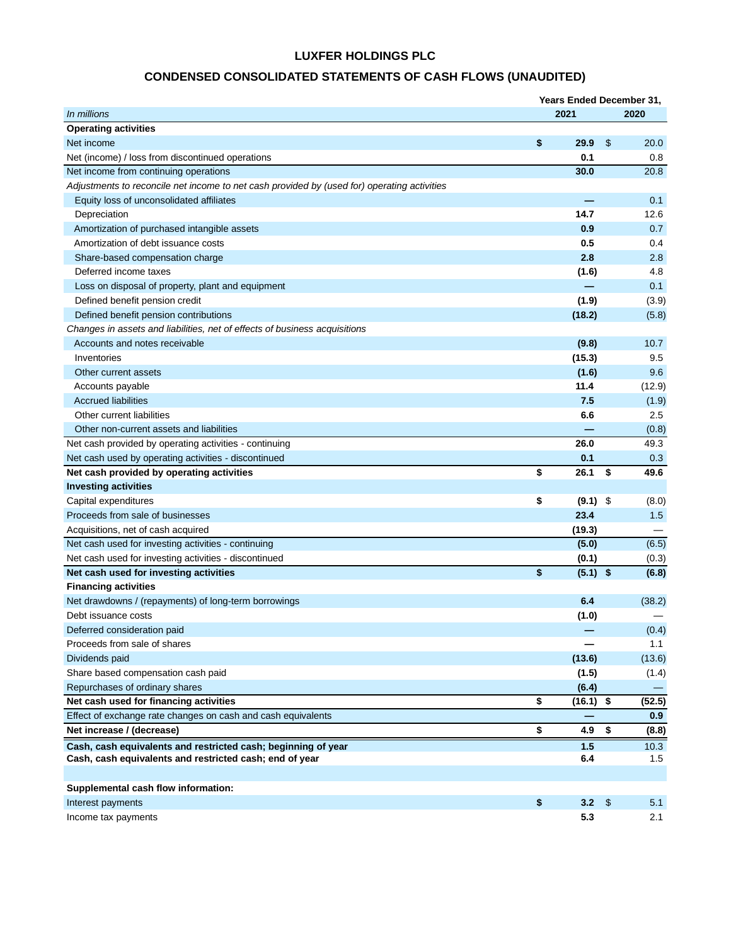# **CONDENSED CONSOLIDATED STATEMENTS OF CASH FLOWS (UNAUDITED)**

|                                                                                             |      |            | <b>Years Ended December 31,</b> |        |  |  |
|---------------------------------------------------------------------------------------------|------|------------|---------------------------------|--------|--|--|
| In millions                                                                                 | 2021 |            | 2020                            |        |  |  |
| <b>Operating activities</b>                                                                 |      |            |                                 |        |  |  |
| Net income                                                                                  | \$   | 29.9       | \$                              | 20.0   |  |  |
| Net (income) / loss from discontinued operations                                            |      | 0.1        |                                 | 0.8    |  |  |
| Net income from continuing operations                                                       |      | 30.0       |                                 | 20.8   |  |  |
| Adjustments to reconcile net income to net cash provided by (used for) operating activities |      |            |                                 |        |  |  |
| Equity loss of unconsolidated affiliates                                                    |      |            |                                 | 0.1    |  |  |
| Depreciation                                                                                |      | 14.7       |                                 | 12.6   |  |  |
| Amortization of purchased intangible assets                                                 |      | 0.9        |                                 | 0.7    |  |  |
| Amortization of debt issuance costs                                                         |      | 0.5        |                                 | 0.4    |  |  |
| Share-based compensation charge                                                             |      | 2.8        |                                 | 2.8    |  |  |
| Deferred income taxes                                                                       |      | (1.6)      |                                 | 4.8    |  |  |
| Loss on disposal of property, plant and equipment                                           |      |            |                                 | 0.1    |  |  |
| Defined benefit pension credit                                                              |      | (1.9)      |                                 | (3.9)  |  |  |
| Defined benefit pension contributions                                                       |      | (18.2)     |                                 | (5.8)  |  |  |
| Changes in assets and liabilities, net of effects of business acquisitions                  |      |            |                                 |        |  |  |
| Accounts and notes receivable                                                               |      | (9.8)      |                                 | 10.7   |  |  |
| Inventories                                                                                 |      | (15.3)     |                                 | 9.5    |  |  |
| Other current assets                                                                        |      | (1.6)      |                                 | 9.6    |  |  |
| Accounts payable                                                                            |      | 11.4       |                                 | (12.9) |  |  |
| <b>Accrued liabilities</b>                                                                  |      | 7.5        |                                 | (1.9)  |  |  |
| Other current liabilities                                                                   |      | 6.6        |                                 | 2.5    |  |  |
| Other non-current assets and liabilities                                                    |      |            |                                 | (0.8)  |  |  |
| Net cash provided by operating activities - continuing                                      |      | 26.0       |                                 | 49.3   |  |  |
| Net cash used by operating activities - discontinued                                        |      | 0.1        |                                 | 0.3    |  |  |
| Net cash provided by operating activities                                                   | \$   | 26.1       | \$                              | 49.6   |  |  |
| <b>Investing activities</b>                                                                 |      |            |                                 |        |  |  |
| Capital expenditures                                                                        | \$   | (9.1)      | \$                              | (8.0)  |  |  |
| Proceeds from sale of businesses                                                            |      | 23.4       |                                 | 1.5    |  |  |
| Acquisitions, net of cash acquired                                                          |      | (19.3)     |                                 |        |  |  |
| Net cash used for investing activities - continuing                                         |      | (5.0)      |                                 | (6.5)  |  |  |
| Net cash used for investing activities - discontinued                                       |      | (0.1)      |                                 | (0.3)  |  |  |
| Net cash used for investing activities                                                      | \$   | $(5.1)$ \$ |                                 | (6.8)  |  |  |
| <b>Financing activities</b>                                                                 |      |            |                                 |        |  |  |
| Net drawdowns / (repayments) of long-term borrowings                                        |      | 6.4        |                                 | (38.2) |  |  |
| Debt issuance costs                                                                         |      | (1.0)      |                                 |        |  |  |
| Deferred consideration paid                                                                 |      |            |                                 | (0.4)  |  |  |
| Proceeds from sale of shares                                                                |      |            |                                 | 1.1    |  |  |
| Dividends paid                                                                              |      | (13.6)     |                                 | (13.6) |  |  |
| Share based compensation cash paid                                                          |      | (1.5)      |                                 | (1.4)  |  |  |
| Repurchases of ordinary shares                                                              |      | (6.4)      |                                 |        |  |  |
| Net cash used for financing activities                                                      | \$   | (16.1)     | \$                              | (52.5) |  |  |
| Effect of exchange rate changes on cash and cash equivalents                                |      |            |                                 | 0.9    |  |  |
| Net increase / (decrease)                                                                   | \$   | 4.9        | \$                              | (8.8)  |  |  |
| Cash, cash equivalents and restricted cash; beginning of year                               |      | 1.5        |                                 | 10.3   |  |  |
| Cash, cash equivalents and restricted cash; end of year                                     |      | 6.4        |                                 | 1.5    |  |  |
|                                                                                             |      |            |                                 |        |  |  |
| Supplemental cash flow information:                                                         |      |            |                                 |        |  |  |
| Interest payments                                                                           | \$   | 3.2        | \$                              | 5.1    |  |  |
| Income tax payments                                                                         |      | 5.3        |                                 | 2.1    |  |  |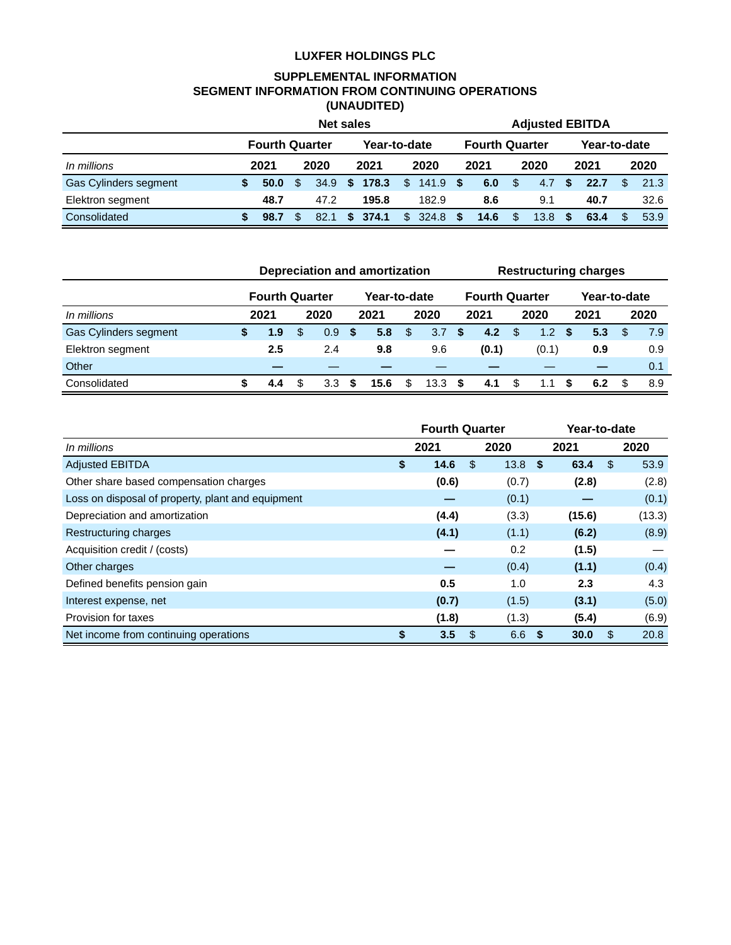#### **SUPPLEMENTAL INFORMATION SEGMENT INFORMATION FROM CONTINUING OPERATIONS (UNAUDITED)**

|                       |                                       | <b>Net sales</b> |  |      |    |         |                       |       |    | <b>Adjusted EBITDA</b> |    |      |    |      |  |      |  |  |  |  |
|-----------------------|---------------------------------------|------------------|--|------|----|---------|-----------------------|-------|----|------------------------|----|------|----|------|--|------|--|--|--|--|
|                       | <b>Fourth Quarter</b><br>Year-to-date |                  |  |      |    |         | <b>Fourth Quarter</b> |       |    | Year-to-date           |    |      |    |      |  |      |  |  |  |  |
| In millions           |                                       | 2021             |  | 2020 |    | 2021    |                       | 2020  |    | 2021                   |    | 2020 |    | 2021 |  | 2020 |  |  |  |  |
| Gas Cylinders segment |                                       | 50.0             |  | 34.9 | S. | 178.3   | \$                    | 141.9 | S  | 6.0                    | \$ | 4.7  |    | 22.7 |  | 21.3 |  |  |  |  |
| Elektron segment      |                                       | 48.7             |  | 47.2 |    | 195.8   |                       | 182.9 |    | 8.6                    |    | 9.1  |    | 40.7 |  | 32.6 |  |  |  |  |
| Consolidated          |                                       | 98.7             |  | 82.1 |    | \$374.1 | $\mathbb{S}$          | 324.8 | S. | 14.6                   | \$ | 13.8 | -S | 63.4 |  | 53.9 |  |  |  |  |

|                       | Depreciation and amortization         |      |     |                  |      |      |                       |           | <b>Restructuring charges</b> |              |      |               |          |     |      |     |  |  |
|-----------------------|---------------------------------------|------|-----|------------------|------|------|-----------------------|-----------|------------------------------|--------------|------|---------------|----------|-----|------|-----|--|--|
|                       | <b>Fourth Quarter</b><br>Year-to-date |      |     |                  |      |      | <b>Fourth Quarter</b> |           |                              | Year-to-date |      |               |          |     |      |     |  |  |
| In millions           |                                       | 2021 |     | 2020             |      | 2021 | 2020                  |           | 2021                         |              | 2020 |               | 2021     |     | 2020 |     |  |  |
| Gas Cylinders segment | S                                     | 1.9  | \$. | 0.9              | - \$ | 5.8  | \$.                   | 3.7       | - \$                         | 4.2          | \$.  | $1.2^{\circ}$ | <b>S</b> | 5.3 |      | 7.9 |  |  |
| Elektron segment      |                                       | 2.5  |     | 2.4              |      | 9.8  |                       | 9.6       |                              | (0.1)        |      | (0.1)         |          | 0.9 |      | 0.9 |  |  |
| Other                 |                                       |      |     |                  |      |      |                       |           |                              |              |      |               |          |     |      | 0.1 |  |  |
| Consolidated          |                                       | 4.4  | \$. | 3.3 <sup>5</sup> |      | 15.6 | \$.                   | $13.3$ \$ |                              | 4.1          | \$   | 1.1           |          | 6.2 |      | 8.9 |  |  |

|                                                   | <b>Fourth Quarter</b> | Year-to-date |       |      |        |    |        |
|---------------------------------------------------|-----------------------|--------------|-------|------|--------|----|--------|
| In millions                                       | 2021                  |              | 2020  | 2021 |        |    | 2020   |
| <b>Adjusted EBITDA</b>                            | \$<br>14.6            | \$           | 13.8  | - \$ | 63.4   | \$ | 53.9   |
| Other share based compensation charges            | (0.6)                 |              | (0.7) |      | (2.8)  |    | (2.8)  |
| Loss on disposal of property, plant and equipment |                       |              | (0.1) |      |        |    | (0.1)  |
| Depreciation and amortization                     | (4.4)                 |              | (3.3) |      | (15.6) |    | (13.3) |
| Restructuring charges                             | (4.1)                 |              | (1.1) |      | (6.2)  |    | (8.9)  |
| Acquisition credit / (costs)                      |                       |              | 0.2   |      | (1.5)  |    |        |
| Other charges                                     |                       |              | (0.4) |      | (1.1)  |    | (0.4)  |
| Defined benefits pension gain                     | 0.5                   |              | 1.0   |      | 2.3    |    | 4.3    |
| Interest expense, net                             | (0.7)                 |              | (1.5) |      | (3.1)  |    | (5.0)  |
| Provision for taxes                               | (1.8)                 |              | (1.3) |      | (5.4)  |    | (6.9)  |
| Net income from continuing operations             | \$<br>3.5             | S.           | 6.6   |      | 30.0   | \$ | 20.8   |